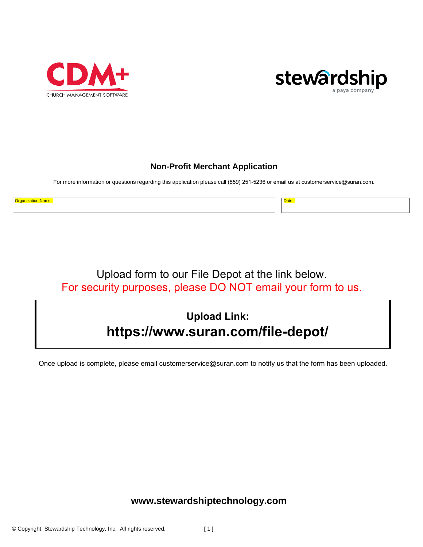



### **Non-Profit Merchant Application**

For more information or questions regarding this application please call (859) 251-5236 or email us at [customerservice](mailto:customerservice@suran.com)@suran.com.

Organization Name: Date:

Upload f[orm to our File Depot at the link](mailto:customerservice@suran.com) below. For security purposes, please DO NOT email your form to us.

# **Upload Link: https://[www.suran.com/file-depot/](https://www.suran.com/file-depot/)**

Once upload is complete, please email customerservice@suran.com to notify us that the form has been uploaded.

## **[www.stewardshiptechnology.com](http://www.stewardshiptechnology.com/)**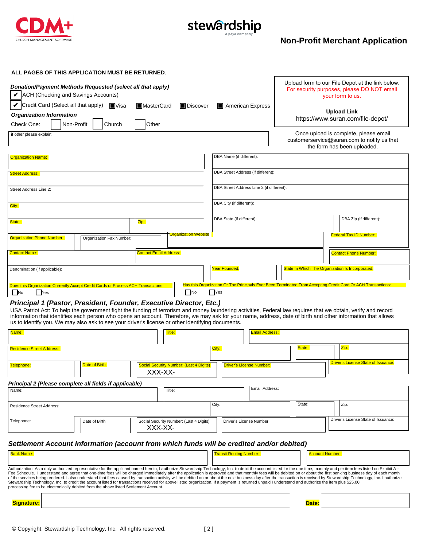

# stewardship

# **Non-Profit Merchant Application**

| ALL PAGES OF THIS APPLICATION MUST BE RETURNED.<br>Donation/Payment Methods Requested (select all that apply)<br>$\triangleright$ ACH (Checking and Savings Accounts)<br>Credit Card (Select all that apply) <b>N</b> Visa<br><b>Organization Information</b><br>Non-Profit<br>Check One:<br>if other please explain:<br><b>Organization Name:</b><br><b>Street Address:</b> | Church                   | <b>I</b> MasterCard<br>Other                              | <b>D</b> iscover            | DBA Name (if different):                                              | American Express<br>DBA Street Address (if different): |                                                  | Upload form to our File Depot at the link below.<br>For security purposes, please DO NOT email<br>your form to us.<br><b>Upload Link</b><br>https://www.suran.com/file-depot/<br>Once upload is complete, please email<br>customerservice@suran.com to notify us that<br>the form has been uploaded.                                                                                                                                                                                                                                                                                                                                                                            |
|------------------------------------------------------------------------------------------------------------------------------------------------------------------------------------------------------------------------------------------------------------------------------------------------------------------------------------------------------------------------------|--------------------------|-----------------------------------------------------------|-----------------------------|-----------------------------------------------------------------------|--------------------------------------------------------|--------------------------------------------------|---------------------------------------------------------------------------------------------------------------------------------------------------------------------------------------------------------------------------------------------------------------------------------------------------------------------------------------------------------------------------------------------------------------------------------------------------------------------------------------------------------------------------------------------------------------------------------------------------------------------------------------------------------------------------------|
| Street Address Line 2:<br>City:                                                                                                                                                                                                                                                                                                                                              |                          |                                                           |                             | DBA Street Address Line 2 (if different):<br>DBA City (if different): |                                                        |                                                  |                                                                                                                                                                                                                                                                                                                                                                                                                                                                                                                                                                                                                                                                                 |
| State:                                                                                                                                                                                                                                                                                                                                                                       |                          | Zip:                                                      |                             |                                                                       | DBA State (if different):                              |                                                  | DBA Zip (if different):                                                                                                                                                                                                                                                                                                                                                                                                                                                                                                                                                                                                                                                         |
| <b>Organization Phone Number:</b>                                                                                                                                                                                                                                                                                                                                            | Organization Fax Number: |                                                           | <b>Organization Website</b> |                                                                       |                                                        |                                                  | <b>Federal Tax ID Number:</b>                                                                                                                                                                                                                                                                                                                                                                                                                                                                                                                                                                                                                                                   |
| <b>Contact Name:</b>                                                                                                                                                                                                                                                                                                                                                         |                          | <b>Contact Email Address:</b>                             |                             |                                                                       |                                                        |                                                  | <b>Contact Phone Number:</b>                                                                                                                                                                                                                                                                                                                                                                                                                                                                                                                                                                                                                                                    |
| Denomination (if applicable):                                                                                                                                                                                                                                                                                                                                                |                          |                                                           | Year Founded:               |                                                                       |                                                        | State In Which The Organization Is Incorporated: |                                                                                                                                                                                                                                                                                                                                                                                                                                                                                                                                                                                                                                                                                 |
| Does this Organization Currently Accept Credit Cards or Process ACH Transactions:<br>$\Box$ No<br>  Yes                                                                                                                                                                                                                                                                      |                          |                                                           | $\Box$ No                   | $\Box$ Yes                                                            |                                                        |                                                  | Has this Organization Or The Principals Ever Been Terminated From Accepting Credit Card Or ACH Transactions:                                                                                                                                                                                                                                                                                                                                                                                                                                                                                                                                                                    |
| Principal 1 (Pastor, President, Founder, Executive Director, Etc.)<br>us to identify you. We may also ask to see your driver's license or other identifying documents.<br>Name:                                                                                                                                                                                              |                          | Title:                                                    |                             |                                                                       | <b>Email Address:</b>                                  |                                                  | USA Patriot Act: To help the government fight the funding of terrorism and money laundering activities, Federal law requires that we obtain, verify and record<br>information that identifies each person who opens an account. Therefore, we may ask for your name, address, date of birth and other information that allows                                                                                                                                                                                                                                                                                                                                                   |
| <b>Residence Street Address:</b>                                                                                                                                                                                                                                                                                                                                             |                          |                                                           |                             | City:                                                                 |                                                        | State:                                           | Zip:                                                                                                                                                                                                                                                                                                                                                                                                                                                                                                                                                                                                                                                                            |
| Telephone:                                                                                                                                                                                                                                                                                                                                                                   | Date of Birth            | <b>Social Security Number: (Last 4 Digits)</b><br>XXX-XX- |                             |                                                                       | Driver's License Number:                               |                                                  | <b>Driver's License State of Issuance:</b>                                                                                                                                                                                                                                                                                                                                                                                                                                                                                                                                                                                                                                      |
| Principal 2 (Please complete all fields if applicable)                                                                                                                                                                                                                                                                                                                       |                          |                                                           |                             |                                                                       | Email Address:                                         |                                                  |                                                                                                                                                                                                                                                                                                                                                                                                                                                                                                                                                                                                                                                                                 |
| Name:                                                                                                                                                                                                                                                                                                                                                                        |                          | Title:                                                    |                             |                                                                       |                                                        |                                                  |                                                                                                                                                                                                                                                                                                                                                                                                                                                                                                                                                                                                                                                                                 |
| <b>Residence Street Address:</b>                                                                                                                                                                                                                                                                                                                                             |                          |                                                           |                             | City:                                                                 |                                                        | State:                                           | Zip:                                                                                                                                                                                                                                                                                                                                                                                                                                                                                                                                                                                                                                                                            |
| Telephone:                                                                                                                                                                                                                                                                                                                                                                   | Date of Birth            | Social Security Number: (Last 4 Digits)<br>XXX-XX-        |                             |                                                                       | Driver's License Number:                               |                                                  | Driver's License State of Issuance:                                                                                                                                                                                                                                                                                                                                                                                                                                                                                                                                                                                                                                             |
| Settlement Account Information (account from which funds will be credited and/or debited)                                                                                                                                                                                                                                                                                    |                          |                                                           |                             |                                                                       |                                                        |                                                  |                                                                                                                                                                                                                                                                                                                                                                                                                                                                                                                                                                                                                                                                                 |
| <b>Bank Name:</b>                                                                                                                                                                                                                                                                                                                                                            |                          |                                                           |                             |                                                                       | <b>Transit Routing Number:</b>                         |                                                  | <b>Account Number:</b>                                                                                                                                                                                                                                                                                                                                                                                                                                                                                                                                                                                                                                                          |
| Stewardship Technology, Inc. to credit the account listed for transactions received for above listed organization. If a payment is returned unpaid I understand and authorize the item plus \$25.00<br>processing fee to be electronically debited from the above listed Settlement Account.                                                                                 |                          |                                                           |                             |                                                                       |                                                        |                                                  | Authorization: As a duly authorized representative for the applicant named herein, I authorize Stewardship Technology, Inc. to debit the account listed for the one time, monthly and per item fees listed on Exhibit A -<br>Fee Schedule. I understand and agree that one-time fees will be charged immediately after the application is approved and that monthly fees will be debited on or about the first banking business day of each month<br>of the services being rendered. I also understand that fees caused by transaction activity will be debited on or about the next business day after the transaction is received by Stewardship Technology, Inc. I authorize |
| <b>Signature:</b>                                                                                                                                                                                                                                                                                                                                                            |                          |                                                           |                             |                                                                       |                                                        | Date:                                            |                                                                                                                                                                                                                                                                                                                                                                                                                                                                                                                                                                                                                                                                                 |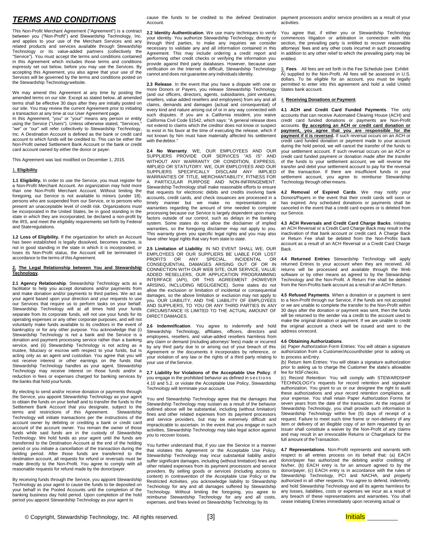### *TERMS AND CONDITIONS*

This Non-Profit Merchant Agreement ("Agreement") is a contract between you ("Non-Profit") and Stewardship Technology, Inc. and applies to your use of the Merchant Services and any related products and services available through Stewardship Technology or its value-added partners (collectively the "Service"). You must accept the terms and conditions contained in this Agreement which includes those terms and conditions expressly set out below, before you may use the Services. By accepting this Agreement, you also agree that your use of the Services will be governed by the terms and conditions posted on the Stewardship Technologywebsite.

We may amend this Agreement at any time by posting the amended terms on our site. Except as stated below, all amended terms shall be effective 30 days after they are initially posted on our site. You may review the current Agreement prior to initiating a transaction at any time at our User Agreement page.

In this Agreement, "you" or "your" means any person or entity using the Service ("Users"). Unless otherwise stated, "Services," "we" or "our" will refer collectively to Stewardship Technology, Inc. A Destination Account is defined as the bank or credit card account to which funds will be credited to. This can be either the Non-Profit owned Settlement Bank Account or the bank or credit card account owned by either the donor or payer.

This Agreement was last modified on December 1, 2015.

#### 1. **Eligibility**.

**1.1 Eligibility.** In order to use the Service, you must register for a Non-Profit Merchant Account. An organization may hold more than one Non-Profit Merchant Account. Without limiting the foregoing, our Service is not available to minors (under 18). persons who are suspended from our Service, or to persons who present an unacceptable level of credit risk. Organizations must be incorporated in the United States, be in good standing in the state in which they are incorporated, be declared a non-profit by the IRS, and meet the eligibility requirements set forth by Federal and Stateregulations.

**1.2 Loss of Eligibility.** If the organization for which an Account has been established is legally dissolved, becomes inactive, is not in good standing in the state in which it is incorporated, or loses its Non-Profit status, the Account will be terminated in accordance to the terms of this Agreement.

#### **2. The Legal Relationship between You and Stewardship Technology.**

**2.1 Agency Relationship**. Stewardship Technology acts as a facilitator to help you accept donations and/or payments from and make donation and/or payments to third parties. We act as your agent based upon your direction and your requests to use our Services that require us to perform tasks on your behalf. Stewardship Technology will at all times hold your funds separate from its corporate funds, will not use your funds for its operating expenses or any other corporate purposes, and will not voluntarily make funds available to its creditors in the event of bankruptcy or for any other purpose. You acknowledge that (i) Stewardship Technology is not a bank and the Service is a donation and payment processing service rather than a banking service, and (ii) Stewardship Technology is not acting as a trustee, fiduciary or escrow with respect to your funds, but is acting only as an agent and custodian. You agree that you will not receive interest or other earnings on the funds that Stewardship Technology handles as your agent. Stewardship Technology may receive interest on those funds and/or a reduction in fees or expenses charged for banking services by the banks that hold yourfunds.

By electing to send and/or receive donation or payments through the Service, you appoint Stewardship Technology as your agent to obtain the funds on your behalf and to transfer the funds to the Settlement Bank Account that you designate, subject to the terms and restrictions of this Agreement. Stewardship terms and restrictions of this Agreement. Technology will initiate transactions per the instructions of the account owner by debiting or crediting a bank or credit card account of the account owner. You remain the owner of those funds while said funds are in the custody of Stewardship Technology. We hold funds as your agent until the funds are transferred to the Destination Account at the end of the holding period or you initiate a cancellation of the transaction during the holding period. After those funds are transferred to the destination account, all requests for refund or reversals must be made directly to the Non-Profit. You agree to comply with all reasonable requests for refund made by the donor/payer.

By receiving funds through the Service, you appoint Stewardship Technology as your agent to cause the funds to be deposited on your behalf in the Pooled Accounts until the completion of the banking business day hold period. Upon completion of the hold period you appoint Stewardship Technology as your agent to

Account.

**2.2 Identity Authentication**. We use many techniques to verify your identity. You authorize Stewardship Technology, directly or through third parties, to make any inquiries we consider necessary to validate any and all information contained in this Agreement. This may include ordering a credit report and performing other credit checks or verifying the information you provide against third party databases. However, because user verification on the Internet is difficult, Stewardship Technology cannot and does not guarantee any individuals identity.

**2.3 Release**. In the event that you have a dispute with one or more Donors or Payers, you release Stewardship Technology (and our officers, directors, agents, subsidiaries, joint ventures, resellers, value added resellers and employees) from any and all claims, demands and damages (actual and consequential) of every kind and nature arising out of or in any way connected with such disputes. If you are a California resident, you waive California Civil Code §1542, which says: "A general release does not extend to claims which the creditor does not know or suspect to exist in his favor at the time of executing the release, which if not known by him must have materially affected his settlement with the debtor."

**2.4 No Warranty**. WE, OUR EMPLOYEES AND OUR SUPPLIERS PROVIDE OUR SERVICES "AS IS" AND WITHOUT ANY WARRANTY OR CONDITION, EXPRESS, IMPLIED OR STATUTORY. WE, OUR EMPLOYEES AND OUR SUPPLIERS SPECIFICALLY DISCLAIM ANY IMPLIED WARRANTIES OF TITLE, MERCHANTABILITY, FITNESS FOR PARTICULAR PURPOSE AND NON-INFRINGEMENT. Stewardship Technology shall make reasonable efforts to ensure that requests for electronic debits and credits involving bank accounts, credit cards, and check issuances are processed in a timely manner but we make no representations or warranties regarding the amount of time needed to complete processing because our Service is largely dependent upon many factors outside of our control, such as delays in the banking system. Some states do not allow the disclaimer of implied warranties, so the foregoing disclaimer may not apply to you. This warranty gives you specific legal rights and you may also have other legal rights that vary from state to state.

**2.5 Limitation of Liability**. IN NO EVENT SHALL WE, OUR EMPLOYEES OR OUR SUPPLIERS BE LIABLE FOR LOST PROFITS OR ANY SPECIAL, INCIDENTAL OR CONSEQUENTIAL DAMAGES ARISING OUT OF OR IN CONNECTION WITH OUR WEB SITE, OUR SERVICE, VALUE ADDED RESELLERS, OUR APPLICATION PROGRAMMING INTERFACE (API), OR THIS AGREEMENT (HOWEVER ARISING, INCLUDING NEGLIGENCE). Some states do not allow the exclusion or limitation of incidental or consequential damages, so the above limitation or exclusion may not apply to you. OUR LIABILITY, AND THE LIABILITY OF EMPLOYEES AND SUPPLIERS, TO YOU OR ANY THIRD PARTIES IN ANY CIRCUMSTANCE IS LIMITED TO THE ACTUAL AMOUNT OF DIRECT DAMAGES.

**2.6 Indemnification**. You agree to indemnify and hold Stewardship Technology, affiliates, officers, directors and employees, resellers, and value-added resellers harmless from any claim or demand (including attorneys' fees) made or incurred by any third party due to or arising out of your breach of this Agreement or the documents it incorporates by reference, or your violation of any law or the rights of a third party relating to your use of the Service.

**2.7 Liability for Violations of the Acceptable Use Policy**. If you engage in the prohibited behavior as defined in sections

4.10 and 5.2. or violate the Acceptable Use Policy, Stewardship Technology will terminate your account.

You and Stewardship Technology agree that the damages that Stewardship Technology may sustain as a result of the behavior outlined above will be substantial, including (without limitation) fines and other related expenses from its payment processors and service providers, but may be extremely difficult and impracticable to ascertain. In the event that you engage in such activities, Stewardship Technology may take legal action against you to recover losses.

You further understand that, if you use the Service in a manner that violates this Agreement or the Acceptable Use Policy, Stewardship Technology may incur substantial liability and/or suffer significant damages, including (without limitation) fines and other related expenses from its payment processors and service providers. By selling goods or services (including access to content) in contravention of the Acceptable Use Policy or the Restricted Activities, you acknowledge liability to Stewardship Technology for any and all damages suffered by Stewardship Technology. Without limiting the foregoing, you agree to reimburse Stewardship Technology for any and all costs, expenses, and fines levied on Stewardship Technology by its

cause the funds to be credited to the defined Destination payment processors and/or service providers as a result of your activities.

> You agree that, if either you or Stewardship Technology commences litigation or arbitration in connection with this section, the prevailing party is entitled to recover reasonable attorneys' fees and any other costs incurred in such proceeding in addition to any other relief to which the prevailing party may be entitled.

> 3. **Fees**. All fees are set forth in the Fee Schedule (see Exhibit A) supplied to the Non-Profit. All fees will be assessed in U.S. dollars. To be eligible for an account, you must be legally permitted to enter into this agreement and hold a valid United States bank account.

#### 4. **Receiving Donations or Payment**.

**4.1 ACH and Credit Card Funded Payments**. The only accounts that can receive Automated Clearing House (ACH) and credit card funded donations or payments are Non-Profit accounts. **By accepting an ACH or credit card donation or payment, you agree that you are responsible for the payment if it is reversed.** If such reversal occurs on an ACH or credit card funded donation or payment made to your account during the hold period, we will cancel the transfer of the funds to your settlement account. If such reversal occurs on an ACH or credit card funded payment or donation made after the transfer of the funds to your settlement account, we will reverse the transfer and debit your settlement account to pay for the reversal of the transaction. If there are insufficient funds in your settlement account, you agree to reimburse Stewardship Technology through othermeans.

**4.2 Removal of Expired Cards**. We may notify your Donors/Payers in the event that their credit cards will soon or has expired. Any scheduled donations or payments shall be canceled in the event that a credit card expires or is deleted from our Service.

**4.3 ACH Reversals and Credit Card Charge Backs**. Initiating an ACH Reversal or a Credit Card Charge Back may result in the inactivation of that bank account or credit card. A Charge Back or Return Fee shall be debited from the Non-Profits bank account as a result of an ACH Reversal or a Credit Card Charge Back.

**4.4 Returned Entries** Stewardship Technology will apply returned Entries to your account when they are received. All returns will be processed and available through the Web software or by other means as agreed to by the Stewardship Technology and the Non-Profit. A Return Fee shall be debited from the Non-Profits bank account as a result of an ACH Return.

**4.5 Refused Payments**. When a donation or a payment is sent to a Non-Profit through our Service, if the funds are not accepted or we are unable to complete the transfer to the Non-Profit within 30 days after the donation or payment was sent, then the funds will be returned to the sender via a credit to the account used to make the original donation or payment. If we are unable to credit the original account a check will be issued and sent to the address onrecord.

#### **4.6 Obtaining Authorizations**.

(a) Paper Authorization Form Entries: You will obtain a signature authorization from a Customer/Accountholder prior to asking us to process anEntry.

(b) Return Item Entries: You will obtain a signature authorization prior to asking us to charge the Customer the state's allowable fee for NSFchecks.

(c) Record Retention: You will comply with STEWARDSHIP TECHNOLOGY's requests for record retention and signature authorization. You grant to us or our designee the right to audit these authorizations and your record retention compliance, at your expense. You shall retain Paper Authorization Forms for seven years from the date of the transaction. At the request of Stewardship Technology, you shall provide such information to Stewardship Technology within five (5) days of receipt of a request. Failure to meet such time frame or non-delivery of any item or delivery of an illegible copy of an item requested by an Issuer shall constitute a waiver by the Non-Profit of any claims and may result in an irrevocable Returns or Chargeback for the full amount of the Transaction.

**4.7 Representations**. Non-Profit represents and warrants with respect to all entries process on its behalf that: (a) EACH donor/payer has authorized the debiting and/or crediting of his/her, (b) EACH entry is for an amount agreed to by the donor/payer, (c) EACH entry is in accordance with the rules of Stewardship Technology, PCI and NACHA, and properly authorized in all other respects. You agree to defend, indemnify, and hold Stewardship Technology and all its agents harmless for any losses, liabilities, costs or expenses we incur as a result of any breach of these representations and warranties. You shall cease initiating Entries immediately upon receiving actual or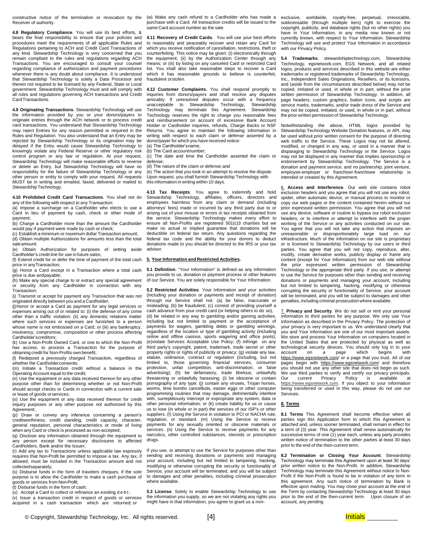constructive notice of the termination or revocation by the Receiver of authority.

**4.8 Regulatory Compliance**. You will use its best efforts, & bears the final responsibility to ensure that your policies and procedures meet the requirements of all applicable Rules and Regulations pertaining to ACH and Credit Card Transactions of any kind. Stewardship Technology is very concerned that you remain compliant to the rules and regulations regarding ACH Transactions. You are encouraged to consult your counsel regarding compliance of authorization and payment procedures whenever there is any doubt about compliance. It is understood that Stewardship Technology is solely a Data Processor and therein not required to be licensed by any Federal, State or Local government. Stewardship Technology must and will comply with all rules and regulations governing ACH transactions and Credit CardTransactions.

**4.9 Originating Transactions**. Stewardship Technology will use the information provided by you or your donors/payers to originate entries through the ACH network or to process credit card transactions. You understand that Stewardship Technology may reject Entries for any reason permitted or required in the Rules and Regulation. You also understand that an Entry may be rejected by Stewardship Technology or its origination may be delayed if the Entry would cause Stewardship Technology to knowingly violate any Federal Reserve or other regulatory risk control program or any law or regulation. At your request, Stewardship Technology will make reasonable efforts to reverse or delete an Entry, but Stewardship Technology will have no responsibility for the failure of Stewardship Technology or any other person or entity to comply with your request. All requests MUST be in writing and emailed, faxed, delivered or mailed to StewardshipTechnology.

**4.10 Prohibited Credit Card Transactions**. You shall not do any of the following with respect to any Transaction:

(a) Impose a surcharge on a Cardholder who elects to use a Card in lieu of payment by cash, check or other mode of payment;

(b) Charge a Cardholder more than the amount the Cardholder would pay if payment were made by cash or check;

(c) Establish a minimum or maximum dollar Transaction amount; (d) Obtain multiple Authorizations for amounts less than the total

saleamount; (e) Obtain Authorization for purposes of setting aside Cardholder's credit line for use in future sales;

(f) Extend credit for or defer the time of payment of the total cash price in anyTransaction;

(g) Honor a Card except in a Transaction where a total cash price is due andpayable;

(h) Make any special charge to or extract any special agreement or security from any Cardholder in connection with any Transaction;

(i) Transmit or accept for payment any Transaction that was not originated directly between you and a Cardholder;

(j)Honor or accept a Card as payment for any legal services or expenses arising out of or related to: (i) the defense of any crime other than a traffic violation; (ii) any domestic relations matter where such services or expenses are furnished to a person whose name is not embossed on a Card; or (iii) any bankruptcy, insolvency, compromise, composition or other process affecting Cardholder'screditors;

(k) Use a Non-Profit Owned Card, or one to which the Non-Profit has access, to process a Transaction for the purpose of obtaining credit for Non-Profits own benefit;

(l) Redeposit a previously charged Transaction, regardless of whether the Cardholderconsents;

(m) Initiate a Transaction credit without a balance in the Operating Account equal to the credit;

(n) Use the equipment or any data received thereon for any other purpose other than for determining whether or not Non-Profit should accept checks or Cards in connection with a current sale or lease of goods orservices;

(o) Use the equipment or any data received thereon for credit inquiry purposes or any other purpose not authorized by this Agreement;

(p) Draw or convey any inference concerning a person's creditworthiness, credit standing, credit capacity, character, general reputation, personal characteristics or mode of living when any Card or check is processed as non-accepted;

(q) Disclose any information obtained through the equipment to any person except for necessary disclosures to affected Cardholders, Bank and/or the Issuer;

(r) Add any tax to Transactions unless applicable law expressly requires that Non-Profit be permitted to impose a tax. Any tax, if allowed, must be included in the Transaction amount and not collectedseparately;

(s) Disburse funds in the form of travelers cheques, if the sole purpose is to allow the Cardholder to make a cash purchase of goods or services from Non-Profit;

(t) Disburse funds in the form of cash;

 $(u)$  Accept a Card to collect or refinance an existing  $d e b t$ ;

(v) Issue a transaction credit in respect of goods or services acquired in a cash transaction which are returned; or

(w) Make any cash refund to a Cardholder who has made a purchase with a Card. All transaction credits will be issued to the same Card account number as the sale.

**4.11 Recovery of Credit Cards**. You will use your best efforts to reasonably and peaceably recover and retain any Card for which you receive notification of cancellation, restrictions, theft or counterfeiting. This notice may be given: (i) electronically through the equipment; (ii) by the Authorization Center through any means; or (iii) by listing on any canceled Card or restricted Card list. You shall also take reasonable steps to recover a Card which it has reasonable grounds to believe is counterfeit, fraudulent orstolen.

**4.12 Customer Complaints.** You shall respond promptly to inquiries from donors/payers and shall resolve any disputes amicably. If unresolved disputes occur with a frequency unacceptable to Stewardship Technology, Stewardship Technology may terminate this Agreement. Stewardship Technology reserves the right to charge you reasonable fees and reimbursement on account of excessive Bank Account Holder or Cardholder inquiries, refunds, Charge Backs or NSF Returns. You agree to maintain the following information in writing with respect to each claim or defense asserted by a donor/payer for which you have received notice:

(a) The Cardholder'sname; (b) The Card accountnumber;

(c) The date and time the Cardholder asserted the claim or defense;

(d) The nature of the claim or defense;and

(e) The action that you took in an attempt to resolve the dispute. Upon request, you shall furnish Stewardship Technology with this information in writing within 10 days.

**4.13 Tax Receipts**. You agree to indemnify and hold Stewardship Technology, affiliates, officers, directors and employees harmless from any claim or demand (including attorneys' fees) made or incurred by any third party due to or arising out of your misuse or errors in tax receipts obtained from the service. Stewardship Technology makes every effort to ensure all Non-Profits are registered 501(c)3 charities but we make no actual or implied guarantee that donations will be deductible on federal tax return. Any questions regarding the federal tax code and the ability for your donors to deduct donations made to you should be directed to the IRS or your tax advisor.

#### **5. Your Information and Restricted Activities.**

**5.1 Definition**. "Your Information" is defined as any information you provide to us, donation or payment process or other features of our Service. You are solely responsible for Your Information.

**5.2 Restricted Activities**. Your Information and your activities (including your donation or payments and receipt of donation) through our Service shall not: (a) be false, inaccurate or misleading; (b) be fraudulent; (c) consist of providing yourself a cash advance from your credit card (or helping others to do so), (d) be related in any way to gambling and/or gaming activities, including but not limited to payment or the acceptance of payments for wagers, gambling debts or gambling winnings, regardless of the location or type of gambling activity (including online and offline casinos, sports wagering and office pools); (e)violate Services Acceptable Use Policy; (f) infringe on any third party's copyright, patent, trademark, trade secret or other property rights or rights of publicity or privacy; (g) violate any law, statute, ordinance, contract or regulation (including, but not limited to, those governing financial services, consumer protection, unfair competition, anti-discrimination, or false advertising); (h) be defamatory, trade libelous, unlawfully threatening or unlawfully harassing; (i) be obscene or contain pornography of any type; (j) contain any viruses, Trojan horses, worms, time bombs cancelbots, easter eggs or other computer programming routines that may damage, detrimentally interfere with, surreptitiously intercept or expropriate any system, data or other personal information; or (k) create liability for us or cause us to lose (in whole or in part) the services of our ISP's or other suppliers. (l) Using the Service in violation to PCI or NACHA rule, regulation, or standard. (m) Using the Service to receive payments for any sexually oriented or obscene materials or services. (n) Using the Service to receive payments for any narcotics, other controlled substances, steroids or prescription drugs.

If you use, or attempt to use the Service for purposes other than sending and receiving donations or payments and managing your account, including but not limited to tampering, hacking, modifying or otherwise corrupting the security or functionality of Service, your account will be terminated, and you will be subject to damages and other penalties, including criminal prosecution where available.

**5.3 License**. Solely to enable Stewardship Technology to use the information you supply, so we are not violating any rights you might have in that information, you agree to grant us a non-

exclusive, worldwide, royalty-free, perpetual, irrevocable, sublicensable (through multiple tiers) right to exercise the copyright, publicity, and database rights (but no other rights) you have in Your Information, in any media now known or not currently known, with respect to Your Information. Stewardship Technology will use and protect Your Information in accordance with our Privacy Policy.

**5.4 Trademarks**. stewardshiptechnology.com, Stewardship Technology, egsnetwork.com, EGS Network, and all related logos, products and services described in this website are either trademarks or registered trademarks of Stewardship Technology, Inc., Independent Sales Originations, Resellers, or its licensors, and (aside from the circumstances described below) may not be copied, imitated or used, in whole or in part, without the prior written permission of Stewardship Technology. In addition, all page headers, custom graphics, button icons, and scripts are service marks, trademarks, and/or trade dress of the Service and may not be copied, imitated, or used, in whole or in part, without the prior written permission of Stewardship Technology.

Notwithstanding the above, HTML logos provided by Stewardship Technology Website Donation features, or API, may be used without prior written consent for the purpose of directing web traffic to the Service. These Logos may not be altered, modified, or changed in any way, or used in a manner that is disparaging to Stewardship Technology or the Service. Logos may not be displayed in any manner that implies sponsorship or endorsement by Stewardship Technology. The Service is a donation and payment service, and no partnership, joint venture, employee-employer or franchiser-franchisee relationship is intended or created by this Agreement.

6. **Access and Interference**. Our web site contains robot exclusion headers and you agree that you will not use any robot, spider, other automatic device, or manual process to monitor or copy our web pages or the content contained herein without our prior expressed written permission. You agree that you will not use any device, software or routine to bypass our robot exclusion headers, or to interfere or attempt to interfere with the proper working of the Service or any activities conducted on our site. You agree that you will not take any action that imposes an unreasonable or disproportionately large load on our infrastructure. Much of the information on our site is proprietary or is licensed to Stewardship Technology by our users or third parties. You agree that you will not copy, reproduce, alter, modify, create derivative works, publicly display or frame any content (except for Your Information) from our web site without the prior expressed written permission of Stewardship Technology or the appropriate third party. If you use, or attempt to use the Service for purposes other than sending and receiving donations or payments and managing your account, including but not limited to tampering, hacking, modifying or otherwise corrupting the security or functionality of Service, your account will be terminated, and you will be subject to damages and other penalties, including criminal prosecution where available.

7. **Privacy and Security**. We do not sell or rent your personal information to third parties for any purpose. We only use Your Information as described in the Privacy Policy. The protection of your privacy is very important to us. We understand clearly that you and Your Information are one of our most important assets. We store and process Your Information on computers located in the United States that are protected by physical as well as technological security devices. You should only log in to your account on a page which begins with https://www.egsnetwork.com/ or a page that you trust. All of our pages begin with https://www.egsnetwork.com/ and therefore you should not use any other site that does not begin as such. We use third parties to verify and certify our privacy principals. Our current Privacy Policy is available at<br>https://www.egsnetwork.com. If you object to your information being transferred or used in this way, please do not use our Services.

#### **8. Terms**

**8.1 Terms** This Agreement shall become effective when all parties sign this Application form to which this Agreement is attached and, unless sooner terminated, shall remain in effect for a term of (3) year. This Agreement shall renew automatically for successive terms of one (1) year each, unless any party provides written notice of termination to the other parties at least 30 days prior to the end of the then-current term.

**8.2 Termination or Closing Your Account**. Stewardship Technology may terminate this Agreement upon at least 30 days' prior written notice to the Non-Profit. In addition, Stewardship Technology may terminate this Agreement without notice to Non-Profit if the Non-Profit is found to be in violation of any term in this agreement. Any such notice of termination by Bank is effective upon mailing. You may close your account at the end of the Term by contacting Stewardship Technology at least 30 days prior to the end of the then-current term. Upon closure of an account, any pending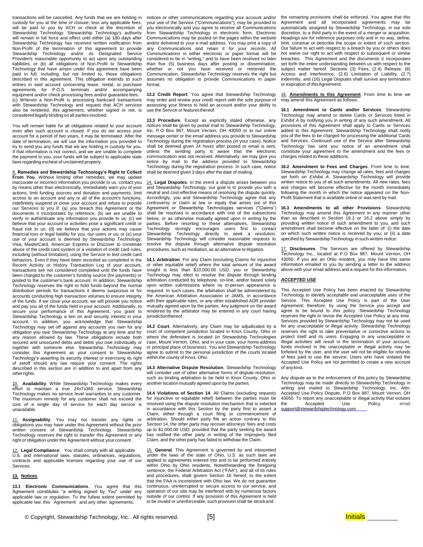transactions will be cancelled. Any funds that we are holding in custody for you at the time of closure, less any applicable fees, will be paid to you by ACH or check at the discretion of Stewardship Technology. Stewardship Technology's authority will remain in full force and effect until either (a) 180 days after Stewardship Technology has received written notification from Non-Profit of the termination of this agreement to provide<br>Stewardship Technology and/or its Designated Service Stewardship Technology and/or its Designated Provider/s reasonable opportunity to act upon any outstanding liabilities; or (b) all obligations of Non-Profit to Stewardship Technology that have arisen under this agreement have been paid in full, including, but not limited to, those obligations described in this agreement. This obligation extends to such entries in said account concerning lease, rental, or purchase agreements for P.O.S. terminals and/or accompanying equipment and/or check processing fees and/or guarantee fees. (c) Wherein a Non-Profit is processing bankcard transactions with Stewardship Technology and request that ACH services also be rendered, this agreement, whether signed or not, is considered legally binding on all parties involved.

You will remain liable for all obligations related to your account even after such account is closed. If you do not access your account for a period of two years, it may be terminated. After the date of termination, we will use the information you provided to try to send you any funds that we are holding in custody for you. If that information is not correct, and we are unable to complete the payment to you, your funds will be subject to applicable state laws regarding escheat of unclaimed property.

9. **Remedies and Stewardship Technology's Right to Collect From You**. Without limiting other remedies, we may update inaccurate or incorrect information you provide to us, contact you by means other than electronically, immediately warn you of your actions, limit funding sources and donation and payments, limit access to an account and any or all of the account's functions, indefinitely suspend or close your account and refuse to provide our Services to you if: (a) you breach this Agreement or the documents it incorporates by reference; (b) we are unable to verify or authenticate any information you provide to us; (c) we believe that your account or activities pose a significant credit or fraud risk to us; (d) we believe that your actions may cause financial loss or legal liability for you, our users or us; or (e) your use of your account is deemed by Stewardship Technology, Visa, MasterCard, American Express or Discover to constitute abuse of the credit card system or a violation of credit card rules, including (without limitation), using the Service to test credit card behaviors. Even if they have been recorded as completed in the Recent Activity or History Transaction Log of your account, transactions are not considered completed until the funds have been charged to the customer's funding source (for payments) or posted to the customer's bank account. In addition, Stewardship Technology reserves the right to hold funds beyond the normal distribution periods for transactions it deems suspicious or for accounts conducting high transaction volumes to ensure integrity of the funds. If we close your account, we will provide you notice and pay you all of the funds held in your account. Additionally, to secure your performance of this Agreement, you grant to Stewardship Technology a lien on and security interest in your account. In addition, you acknowledge that Stewardship Technology may set off against any accounts you own for any obligation you owe Stewardship Technology at any time and for any reason allowed by law. These obligations include both secured and unsecured debts and debts you owe individually or together with someone else. Stewardship Technology may consider this Agreement as your consent to Stewardship Technology's asserting its security interest or exercising its right of setoff should any law require your consent. The rights described in this section are in addition to and apart from any otherrights.

10. **Availability**. While Stewardship Technology makes every effort to maintain a true 24x7x365 service, Stewardship Technology makes no service level warranties to any customer. The maximum remedy for any customer shall not exceed the cost of a single day of service for each day service is unavailable.

11. **Assignability**. You may not transfer any rights or obligations you may have under this Agreement without the prior written consent of Stewardship Technology. Stewardship Technology reserves the right to transfer this Agreement or any right or obligation under this Agreement without your consent.

12. **Legal Compliance**. You shall comply with all applicable U.S. and international laws, statutes, ordinances, regulations, contracts and applicable licenses regarding your use of our Services.

#### **13. Notices**

**13.1 Electronic Communications**. You agree that this Agreement constitutes "a writing signed by You" under any applicable law or regulation. To the fullest extent permitted by applicable law, this Agreement and any other agreements,

notices or other communications regarding your account and/or your use of the Service ("Communications"), may be provided to you electronically and you agree to receive all Communications from Stewardship Technology in electronic form. Electronic Communications may be posted on the pages within the website and/or delivered to your e-mail address. You may print a copy of any Communications and retain it for your records. All Communications in either electronic or paper format will be considered to be in "writing," and to have been received no later than five (5) business days after posting or dissemination, whether or not you have received or retrieved the Communication. Stewardship Technology reserves the right but assumes no obligation to provide Communications in paper format.

**13.2 Credit Report**. You agree that Stewardship Technology may order and review your credit report with the sole purpose of assessing your fitness to hold an account and/or your ability to use the Service or featuresthereof.

**13.3 Procedure**. Except as explicitly stated otherwise, any notices shall be given by postal mail to Stewardship Technology, Inc, P.O Box 987, Mount Vernon, OH 43050 or to our online message center or the email address you provide to Stewardship Technology during the registration process (in your case). Notice shall be deemed given 24 hours after posted or email is sent, unless the sending party is aware that the electronic communication was not received. Alternatively, we may give you notice by mail to the address provided to Stewardship Technology during the registration process. In such case, notice shall be deemed given 3 days after the date of mailing.

14. **Legal Disputes**. In the event a dispute arises between you and Stewardship Technology, our goal is to provide you with a neutral and cost-effective means of resolving the dispute quickly. Accordingly, you and Stewardship Technology agree that any controversy or claim at law or equity that arises out of this Agreement or Stewardship Technologies services ("Claims") shall be resolved in accordance with one of the subsections below, or as otherwise mutually agreed upon in writing by the parties. Before resorting to these alternatives, Stewardship Technology strongly encourages users first to contact Stewardship Technology directly to seek a resolution. Stewardship Technology will consider reasonable requests to resolve the dispute through alternative dispute resolution procedures, such as mediation, as an alternative to litigation.

**14.1 Arbitration**. For any Claim (excluding Claims for injunctive or other equitable relief) where the total amount of the award sought is less than \$10,000.00 USD, you or Stewardship Technology may elect to resolve the dispute through binding arbitration conducted by telephone, on-line, and/or based solely upon written submissions where no in-person appearance is required. In such cases, the arbitration shall be administered by the American Arbitration Association or JAMS, in accordance with their applicable rules, or any other established ADR provider mutually agreed upon by the parties. Any judgment on the award rendered by the arbitrator may be entered in any court having jurisdictionthereof.

**14.2 Court**. Alternatively, any Claim may be adjudicated by a court of competent jurisdiction located in Knox County, Ohio or where the defendant is located (in Stewardship Technologies case, Mount Vernon, Ohio, and in your case, your home address or principal place of business). You and Stewardship Technology agree to submit to the personal jurisdiction of the courts located within the county of Knox, Ohio.

**14.3 Alternative Dispute Resolution**. Stewardship Technology will consider use of other alternative forms of dispute resolution, such as binding arbitration to be held in Knox County, Ohio or another location mutually agreed upon by the parties.

**14.4 Violations of Section 14**. All Claims (excluding requests for injunctive or equitable relief) between the parties must be resolved using the dispute resolution mechanism that is selected in accordance with this Section by the party first to assert a Claim, either through a court filing or commencement of arbitration. Should either party file an action contrary to this Section 14, the other party may recover attorneys' fees and costs up to \$1,000.00 USD, provided that the party seeking the award has notified the other party in writing of the improperly filed Claim, and the other party has failed to withdraw the Claim.

15. **General**. This Agreement is governed by and interpreted under the laws of the state of Ohio, U.S. as such laws are applied to agreements entered into and to be performed entirely within Ohio by Ohio residents. Notwithstanding the foregoing sentence, the Federal Arbitration Act ("FAA"), and all of its rules and procedures, shall govern Section 16 hereof, to the extent that the FAA is inconsistent with Ohio law. We do not guarantee continuous, uninterrupted or secure access to our service, and operation of our site may be interfered with by numerous factors outside of our control. If any provision of this Agreement is held to be invalid or unenforceable, such provision shall be struckand

the remaining provisions shall be enforced. You agree that this Agreement and all incorporated agreements may be automatically assigned by Stewardship Technology, in our sole discretion, to a third party in the event of a merger or acquisition. Headings are for reference purposes only and in no way, define, limit, construe or describe the scope or extent of such section. Our failure to act with respect to a breach by you or others does not waive our right to act with respect to subsequent or similar breaches. This Agreement and the documents it incorporates set forth the entire understanding between us with respect to the subject matter hereof. Sections (3) Fees, (2.4) Release, (8) Access and Interference, (2.6) Limitation of Liability, (2.7) Indemnity, and (16) Legal Disputes shall survive any termination or expiration of thisAgreement.

16. **Amendments to this Agreement**. From time to time we may amend this Agreement as follows:

**16.1 Amendment to Cards and/or Services**. Stewardship Technology may amend or delete Cards or Services listed in *Exhibit A* by notifying you in writing of any such amendment. All provisions of this Agreement shall apply to Cards or Services added to this Agreement. Stewardship Technology shall notify you of the fees to be charged for processing the additional Cards and Services. Continued use of the Service after Stewardship Technology has sent you notice of an amendment shall constitute your agreement to the amendment and the fees or charges related to these additions.

**16.2 Amendment to Fees and Charges**. From time to time, Stewardship Technology may change all rates, fees and charges set forth on *Exhibit A*. Stewardship Technology will provide written notice to you of all such amendments. All new rates, fees and charges will become effective for the month immediately following the month in which the notice appeared on the Non-Profit Statement that is available online or was sent by mail.

**16.3 Amendments to all other Provisions**. Stewardship Technology may amend this Agreement in any manner other than as described in Section 16.1 or 16.2 above simply by providing written notice of such amendment to you, and such amendment shall become effective on the latter of: (i) the date on which such written notice is received by you; or (ii) a date specified by Stewardship Technology in such written notice.

17. **Disclosures**. The Services are offered by Stewardship Technology Inc., located at P.O Box 987, Mount Vernon, OH 43050. If you are an Ohio resident, you may have this same information emailed to you by sending a letter to the address above with your email address and a request for this information.

#### *ACCEPTED USE*

This Accepted Use Policy has been enacted by Stewardship Technology to identify acceptable and unacceptable uses of the Service. This Accepted Use Policy is part of the User Agreement; therefore, by using the Service you accept and agree to be bound to this policy. Stewardship Technology reserves the right to revise the Accepted Use Policy at any time. Services provided by Stewardship Technology may not be used for any unacceptable or illegal activity. Stewardship Technology reserves the right to take preventative or corrective actions to protect itself and its users. Engaging in any unacceptable or illegal activities will result in the termination of your account, funds involved in the unacceptable or illegal activity may be forfeited by the user, and the user will not be eligible for refunds of fees paid to use the service. Users who have violated the Accepted Use Policy are not permitted to create a new account of any kind.

Any dispute as to the enforcement of this policy by Stewardship Technology may be made directly to Stewardship Technology in writing and mailed to Stewardship Technology, Inc, Attn: Accepted Use Policy Dispute, P.O Box 987, Mount Vernon, OH 43050. To report any unacceptable or illegal activity that violates the Accepted Use Policy, email support@stewardshiptechnology.com.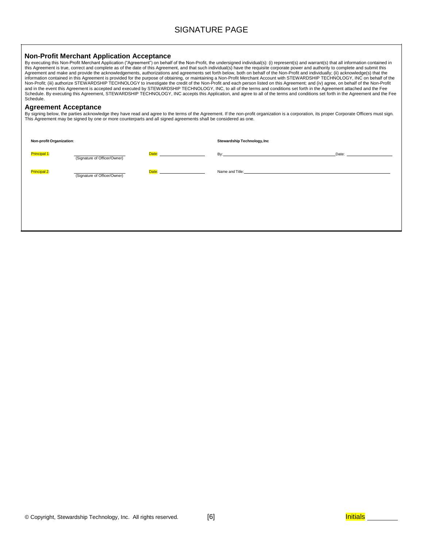## SIGNATURE PAGE

### **Non-Profit Merchant Application Acceptance**

By executing this Non-Profit Merchant Application ("Agreement") on behalf of the Non-Profit, the undersigned individual(s): (i) represent(s) and warrant(s) that all information contained in<br>this Agreement is true, correct Agreement and make and provide the acknowledgements, authorizations and agreements set forth below, both on behalf of the Non-Profit and individually; (ii) acknowledge(s) that the information contained in this Agreement is provided for the purpose of obtaining, or maintaining a Non-Profit Merchant Account with STEWARDSHIP TECHNOLOGY, INC on behalf of the Non-Profit; (iii) authorize STEWARDSHIP TECHNOLOGY to investigate the credit of the Non-Profit and each person listed on this Agreement; and (iv) agree, on behalf of the Non-Profit<br>and in the event this Agreement is accept Schedule.

### **Agreement Acceptance**

By signing below, the parties acknowledge they have read and agree to the terms of the Agreement. If the non-profit organization is a corporation, its proper Corporate Officers must sign.<br>This Agreement may be signed by on

| Non-profit Organization: |                              |                                  | <b>Stewardship Technology, Inc</b>                                                                                                                                                                                             |       |  |
|--------------------------|------------------------------|----------------------------------|--------------------------------------------------------------------------------------------------------------------------------------------------------------------------------------------------------------------------------|-------|--|
| <b>Principal 1:</b>      | (Signature of Officer/Owner) | <b>Date: Date: Contract 2006</b> |                                                                                                                                                                                                                                | Date: |  |
| Principal 2:             | (Signature of Officer/Owner) | Date: ________________________   | Name and Title: The contract of the contract of the contract of the contract of the contract of the contract of the contract of the contract of the contract of the contract of the contract of the contract of the contract o |       |  |
|                          |                              |                                  |                                                                                                                                                                                                                                |       |  |
|                          |                              |                                  |                                                                                                                                                                                                                                |       |  |